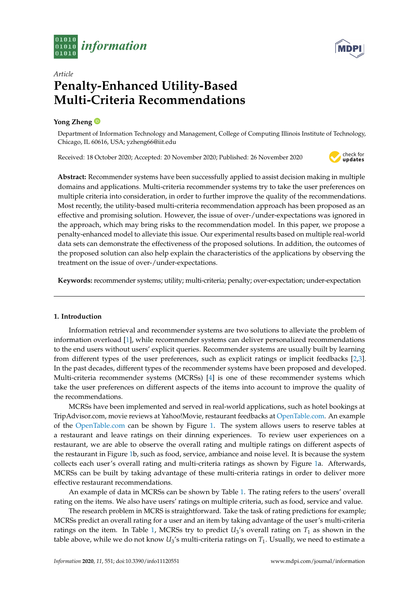



# *Article* **Penalty-Enhanced Utility-Based Multi-Criteria Recommendations**

## **Yong Zheng**

Department of Information Technology and Management, College of Computing Illinois Institute of Technology, Chicago, IL 60616, USA; yzheng66@iit.edu

Received: 18 October 2020; Accepted: 20 November 2020; Published: 26 November 2020



**Abstract:** Recommender systems have been successfully applied to assist decision making in multiple domains and applications. Multi-criteria recommender systems try to take the user preferences on multiple criteria into consideration, in order to further improve the quality of the recommendations. Most recently, the utility-based multi-criteria recommendation approach has been proposed as an effective and promising solution. However, the issue of over-/under-expectations was ignored in the approach, which may bring risks to the recommendation model. In this paper, we propose a penalty-enhanced model to alleviate this issue. Our experimental results based on multiple real-world data sets can demonstrate the effectiveness of the proposed solutions. In addition, the outcomes of the proposed solution can also help explain the characteristics of the applications by observing the treatment on the issue of over-/under-expectations.

**Keywords:** recommender systems; utility; multi-criteria; penalty; over-expectation; under-expectation

### **1. Introduction**

Information retrieval and recommender systems are two solutions to alleviate the problem of information overload [\[1\]](#page-11-0), while recommender systems can deliver personalized recommendations to the end users without users' explicit queries. Recommender systems are usually built by learning from different types of the user preferences, such as explicit ratings or implicit feedbacks [\[2,](#page-11-1)[3\]](#page-11-2). In the past decades, different types of the recommender systems have been proposed and developed. Multi-criteria recommender systems (MCRSs) [\[4\]](#page-11-3) is one of these recommender systems which take the user preferences on different aspects of the items into account to improve the quality of the recommendations.

MCRSs have been implemented and served in real-world applications, such as hotel bookings at TripAdvisor.com, movie reviews at Yahoo!Movie, restaurant feedbacks at [OpenTable.com.](OpenTable.com) An example of the <OpenTable.com> can be shown by Figure [1.](#page-1-0) The system allows users to reserve tables at a restaurant and leave ratings on their dinning experiences. To review user experiences on a restaurant, we are able to observe the overall rating and multiple ratings on different aspects of the restaurant in Figure [1b](#page-1-0), such as food, service, ambiance and noise level. It is because the system collects each user's overall rating and multi-criteria ratings as shown by Figure [1a](#page-1-0). Afterwards, MCRSs can be built by taking advantage of these multi-criteria ratings in order to deliver more effective restaurant recommendations.

An example of data in MCRSs can be shown by Table [1.](#page-1-1) The rating refers to the users' overall rating on the items. We also have users' ratings on multiple criteria, such as food, service and value.

The research problem in MCRS is straightforward. Take the task of rating predictions for example; MCRSs predict an overall rating for a user and an item by taking advantage of the user's multi-criteria ratings on the item. In Table [1,](#page-1-1) MCRSs try to predict  $U_3$ 's overall rating on  $T_1$  as shown in the table above, while we do not know  $U_3$ 's multi-criteria ratings on  $T_1$ . Usually, we need to estimate a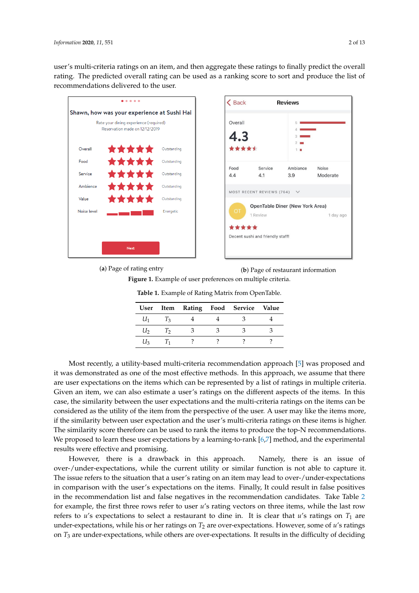user's multi-criteria ratings on an item, and then aggregate these ratings to finally predict the overall rating. The predicted overall rating can be used as a ranking score to sort and produce the list of recommendations delivered to the user.

<span id="page-1-0"></span>

(**a**) Page of rating entry

**(a)** Page of rating entry **(b)** Page of restaurant information **(a)** Page of rating entry **(b)** Page of restaurant information (**b**) Page of restaurant information **Figure 1.** Example of user preferences on multiple criteria. **Figure 1.** Example of user preferences on multiple criteria. **Figure 1.** Example of user preferences on multiple criteria.

|  |  | User Item Rating Food Service Value<br>$U_1$ $T_3$ 4 4 3 4<br>$U_2$ $T_2$ $3$ $3$ $3$ $3$<br>$U_3$ $T_1$ ? ? ? ? |
|--|--|------------------------------------------------------------------------------------------------------------------|

<span id="page-1-1"></span>Table 1. Example of Rating Matrix from OpenTable.

*Most recently, a utility-based multi-criteria recommendation approach [\[5\]](#page-11-4) was proposed and* are user expectations on the items which can be represented by a list of ratings in multiple criteria. Given an item, we can also estimate a user's ratings on the different aspects of the items. In this case, the similarity between the user expectations and the multi-criteria ratings on the items can be considered as the utility of the item from the perspective of the user. A user may like the items more, if the similarity between user expectation and the user's multi-criteria ratings on these items is higher. The similarity score therefore can be used to rank the items to produce the top-N recommendations. We proposed to learn these user expectations by a learning-to-rank  $[6,7]$  $[6,7]$  method, and the experimental results were effective and promising. it was demonstrated as one of the most effective methods. In this approach, we assume that there

However, there is a drawback in this approach. Namely, there is an issue of over-/under-expectations, while the current utility or similar function is not able to capture it. The issue refers to the situation that a user's rating on an item may lead to over-/under-expectations in comparison with the user's expectations on the items. Finally, It could result in false positives in [th](#page-2-0)e recommendation list and false negatives in the recommendation candidates. Take Table 2 for example, the first three rows refer to user  $u$ 's rating vectors on three items, while the last row refers to *u's* expectations to select a restaurant to dine in. It is clear that *u's* ratings on  $T_1$  are under-expectations, while his or her ratings on  $T_2$  are over-expectations. However, some of *u*'s ratings on *1*3 are under-expectations, write or  $\frac{47}{100}$  proposed to learn the set of the calculations by a learning-to-rank  $\frac{47}{100}$  method, and the experimental  $\frac{47}{100}$  method, and the experimental  $\frac{47}{100}$  method, and the experimental  $\frac{47}{100}$  m on  $T_3$  are under-expectations, while others are over-expectations. It results in the difficulty of deciding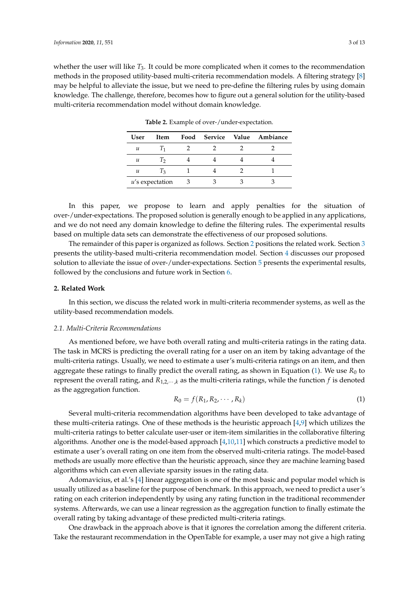<span id="page-2-0"></span>whether the user will like *T*3. It could be more complicated when it comes to the recommendation methods in the proposed utility-based multi-criteria recommendation models. A filtering strategy [\[8\]](#page-11-7) may be helpful to alleviate the issue, but we need to pre-define the filtering rules by using domain knowledge. The challenge, therefore, becomes how to figure out a general solution for the utility-based multi-criteria recommendation model without domain knowledge.

| User                       | <b>Item</b>        |     |  | Food Service Value Ambiance |
|----------------------------|--------------------|-----|--|-----------------------------|
| $\boldsymbol{\mathcal{u}}$ |                    |     |  |                             |
| u                          | Тź                 |     |  |                             |
| u                          | $T_3$              |     |  |                             |
|                            | $u$ 's expectation | - 3 |  |                             |

**Table 2.** Example of over-/under-expectation.

In this paper, we propose to learn and apply penalties for the situation of over-/under-expectations. The proposed solution is generally enough to be applied in any applications, and we do not need any domain knowledge to define the filtering rules. The experimental results based on multiple data sets can demonstrate the effectiveness of our proposed solutions.

The remainder of this paper is organized as follows. Section [2](#page-2-1) positions the related work. Section [3](#page-3-0) presents the utility-based multi-criteria recommendation model. Section [4](#page-6-0) discusses our proposed solution to alleviate the issue of over-/under-expectations. Section [5](#page-7-0) presents the experimental results, followed by the conclusions and future work in Section [6.](#page-10-0)

## <span id="page-2-1"></span>**2. Related Work**

In this section, we discuss the related work in multi-criteria recommender systems, as well as the utility-based recommendation models.

#### *2.1. Multi-Criteria Recommendations*

As mentioned before, we have both overall rating and multi-criteria ratings in the rating data. The task in MCRS is predicting the overall rating for a user on an item by taking advantage of the multi-criteria ratings. Usually, we need to estimate a user's multi-criteria ratings on an item, and then aggregate these ratings to finally predict the overall rating, as shown in Equation  $(1)$ . We use  $R_0$  to represent the overall rating, and  $R_{1,2,\cdots,k}$  as the multi-criteria ratings, while the function  $f$  is denoted as the aggregation function.

<span id="page-2-2"></span>
$$
R_0 = f(R_1, R_2, \cdots, R_k)
$$
\n<sup>(1)</sup>

Several multi-criteria recommendation algorithms have been developed to take advantage of these multi-criteria ratings. One of these methods is the heuristic approach [\[4,](#page-11-3)[9\]](#page-11-8) which utilizes the multi-criteria ratings to better calculate user-user or item-item similarities in the collaborative filtering algorithms. Another one is the model-based approach [\[4,](#page-11-3)[10](#page-11-9)[,11\]](#page-11-10) which constructs a predictive model to estimate a user's overall rating on one item from the observed multi-criteria ratings. The model-based methods are usually more effective than the heuristic approach, since they are machine learning based algorithms which can even alleviate sparsity issues in the rating data.

Adomavicius, et al.'s [\[4\]](#page-11-3) linear aggregation is one of the most basic and popular model which is usually utilized as a baseline for the purpose of benchmark. In this approach, we need to predict a user's rating on each criterion independently by using any rating function in the traditional recommender systems. Afterwards, we can use a linear regression as the aggregation function to finally estimate the overall rating by taking advantage of these predicted multi-criteria ratings.

One drawback in the approach above is that it ignores the correlation among the different criteria. Take the restaurant recommendation in the OpenTable for example, a user may not give a high rating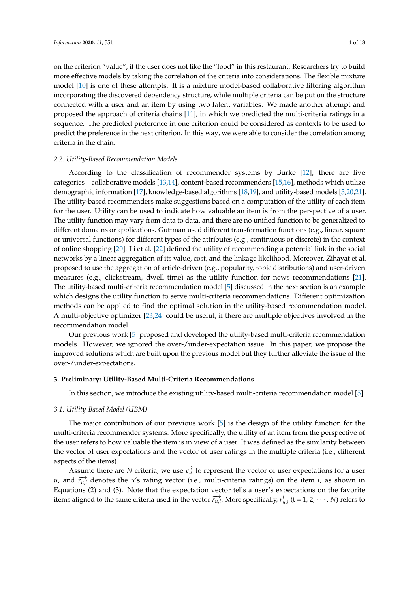on the criterion "value", if the user does not like the "food" in this restaurant. Researchers try to build more effective models by taking the correlation of the criteria into considerations. The flexible mixture model [\[10\]](#page-11-9) is one of these attempts. It is a mixture model-based collaborative filtering algorithm incorporating the discovered dependency structure, while multiple criteria can be put on the structure connected with a user and an item by using two latent variables. We made another attempt and proposed the approach of criteria chains [\[11\]](#page-11-10), in which we predicted the multi-criteria ratings in a sequence. The predicted preference in one criterion could be considered as contexts to be used to predict the preference in the next criterion. In this way, we were able to consider the correlation among criteria in the chain.

#### *2.2. Utility-Based Recommendation Models*

According to the classification of recommender systems by Burke [\[12\]](#page-11-11), there are five categories—collaborative models [\[13](#page-11-12)[,14\]](#page-11-13), content-based recommenders [\[15](#page-11-14)[,16\]](#page-11-15), methods which utilize demographic information [\[17\]](#page-11-16), knowledge-based algorithms [\[18,](#page-11-17)[19\]](#page-11-18), and utility-based models [\[5](#page-11-4)[,20](#page-11-19)[,21\]](#page-11-20). The utility-based recommenders make suggestions based on a computation of the utility of each item for the user. Utility can be used to indicate how valuable an item is from the perspective of a user. The utility function may vary from data to data, and there are no unified function to be generalized to different domains or applications. Guttman used different transformation functions (e.g., linear, square or universal functions) for different types of the attributes (e.g., continuous or discrete) in the context of online shopping [\[20\]](#page-11-19). Li et al. [\[22\]](#page-11-21) defined the utility of recommending a potential link in the social networks by a linear aggregation of its value, cost, and the linkage likelihood. Moreover, Zihayat et al. proposed to use the aggregation of article-driven (e.g., popularity, topic distributions) and user-driven measures (e.g., clickstream, dwell time) as the utility function for news recommendations [\[21\]](#page-11-20). The utility-based multi-criteria recommendation model [\[5\]](#page-11-4) discussed in the next section is an example which designs the utility function to serve multi-criteria recommendations. Different optimization methods can be applied to find the optimal solution in the utility-based recommendation model. A multi-objective optimizer [\[23,](#page-11-22)[24\]](#page-11-23) could be useful, if there are multiple objectives involved in the recommendation model.

Our previous work [\[5\]](#page-11-4) proposed and developed the utility-based multi-criteria recommendation models. However, we ignored the over-/under-expectation issue. In this paper, we propose the improved solutions which are built upon the previous model but they further alleviate the issue of the over-/under-expectations.

#### <span id="page-3-0"></span>**3. Preliminary: Utility-Based Multi-Criteria Recommendations**

In this section, we introduce the existing utility-based multi-criteria recommendation model [\[5\]](#page-11-4).

## *3.1. Utility-Based Model (UBM)*

The major contribution of our previous work [\[5\]](#page-11-4) is the design of the utility function for the multi-criteria recommender systems. More specifically, the utility of an item from the perspective of the user refers to how valuable the item is in view of a user. It was defined as the similarity between the vector of user expectations and the vector of user ratings in the multiple criteria (i.e., different aspects of the items).

Assume there are *N* criteria, we use  $\vec{c}_u$  to represent the vector of user expectations for a user *u*, and  $\overrightarrow{r_{u,i}}$  denotes the *u*'s rating vector (i.e., multi-criteria ratings) on the item *i*, as shown in Equations (2) and (3). Note that the expectation vector tells a user's expectations on the favorite items aligned to the same criteria used in the vector  $\overrightarrow{r_{u,i}}$ . More specifically,  $r_{u,i}^t$  (t = 1, 2, · · · , N) refers to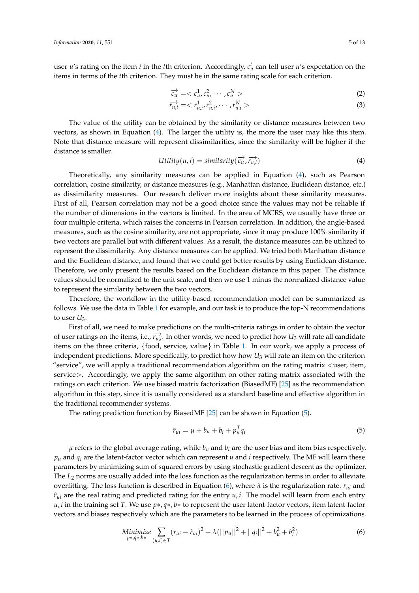user *u*'s rating on the item *i* in the *t*th criterion. Accordingly,  $c_u^t$  can tell user *u*'s expectation on the items in terms of the *t*th criterion. They must be in the same rating scale for each criterion.

$$
\overrightarrow{c_u} = \langle c_u^1, c_u^2, \cdots, c_u^N \rangle \tag{2}
$$

$$
\overrightarrow{r_{u,i}} = \langle r_{u,i}^1, r_{u,i}^2, \cdots, r_{u,i}^N \rangle \tag{3}
$$

The value of the utility can be obtained by the similarity or distance measures between two vectors, as shown in Equation [\(4\)](#page-4-0). The larger the utility is, the more the user may like this item. Note that distance measure will represent dissimilarities, since the similarity will be higher if the distance is smaller.

<span id="page-4-0"></span>
$$
Utility(u,i) = similarity(\overrightarrow{c_u}, \overrightarrow{r_{u,i}})
$$
\n(4)

Theoretically, any similarity measures can be applied in Equation [\(4\)](#page-4-0), such as Pearson correlation, cosine similarity, or distance measures (e.g., Manhattan distance, Euclidean distance, etc.) as dissimilarity measures. Our research deliver more insights about these similarity measures. First of all, Pearson correlation may not be a good choice since the values may not be reliable if the number of dimensions in the vectors is limited. In the area of MCRS, we usually have three or four multiple criteria, which raises the concerns in Pearson correlation. In addition, the angle-based measures, such as the cosine similarity, are not appropriate, since it may produce 100% similarity if two vectors are parallel but with different values. As a result, the distance measures can be utilized to represent the dissimilarity. Any distance measures can be applied. We tried both Manhattan distance and the Euclidean distance, and found that we could get better results by using Euclidean distance. Therefore, we only present the results based on the Euclidean distance in this paper. The distance values should be normalized to the unit scale, and then we use 1 minus the normalized distance value to represent the similarity between the two vectors.

Therefore, the workflow in the utility-based recommendation model can be summarized as follows. We use the data in Table [1](#page-1-1) for example, and our task is to produce the top-N recommendations to user *U*3.

First of all, we need to make predictions on the multi-criteria ratings in order to obtain the vector of user ratings on the items, i.e.,  $\overrightarrow{r_{u,i}}$ . In other words, we need to predict how  $U_3$  will rate all candidate items on the three criteria, {food, service, value} in Table [1.](#page-1-1) In our work, we apply a process of independent predictions. More specifically, to predict how how  $U_3$  will rate an item on the criterion "service", we will apply a traditional recommendation algorithm on the rating matrix <user, item, service>. Accordingly, we apply the same algorithm on other rating matrix associated with the ratings on each criterion. We use biased matrix factorization (BiasedMF) [\[25\]](#page-12-0) as the recommendation algorithm in this step, since it is usually considered as a standard baseline and effective algorithm in the traditional recommender systems.

The rating prediction function by BiasedMF [\[25\]](#page-12-0) can be shown in Equation [\(5\)](#page-4-1).

<span id="page-4-1"></span>
$$
\hat{r}_{ui} = \mu + b_u + b_i + p_u^T q_i \tag{5}
$$

 $\mu$  refers to the global average rating, while  $b_{\mu}$  and  $b_i$  are the user bias and item bias respectively.  $p_u$  and  $q_i$  are the latent-factor vector which can represent *u* and *i* respectively. The MF will learn these parameters by minimizing sum of squared errors by using stochastic gradient descent as the optimizer. The *L*<sub>2</sub> norms are usually added into the loss function as the regularization terms in order to alleviate overfitting. The loss function is described in Equation [\(6\)](#page-4-2), where  $\lambda$  is the regularization rate.  $r_{ui}$  and  $\hat{r}_{ui}$  are the real rating and predicted rating for the entry  $u, i$ . The model will learn from each entry *u*, *i* in the training set *T*. We use *p*∗, *q*∗, *b*∗ to represent the user latent-factor vectors, item latent-factor vectors and biases respectively which are the parameters to be learned in the process of optimizations.

<span id="page-4-2"></span>Minimize 
$$
\sum_{p*\mathcal{A}*\mathcal{b}^*} (r_{ui} - \hat{r}_{ui})^2 + \lambda (||p_u||^2 + ||q_i||^2 + b_u^2 + b_i^2)
$$
(6)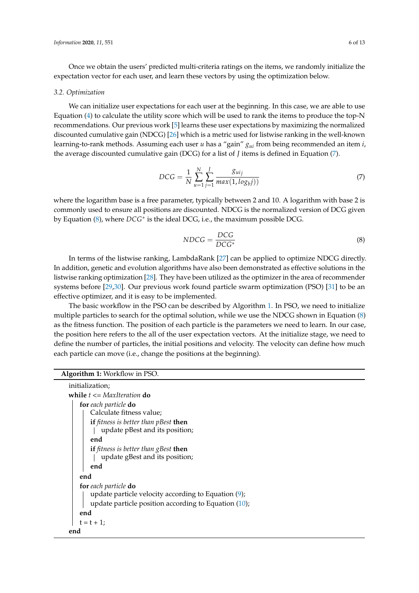Once we obtain the users' predicted multi-criteria ratings on the items, we randomly initialize the expectation vector for each user, and learn these vectors by using the optimization below.

#### *3.2. Optimization*

We can initialize user expectations for each user at the beginning. In this case, we are able to use Equation [\(4\)](#page-4-0) to calculate the utility score which will be used to rank the items to produce the top-N recommendations. Our previous work [\[5\]](#page-11-4) learns these user expectations by maximizing the normalized discounted cumulative gain (NDCG) [\[26\]](#page-12-1) which is a metric used for listwise ranking in the well-known learning-to-rank methods. Assuming each user *u* has a "gain" *gui* from being recommended an item *i*, the average discounted cumulative gain (DCG) for a list of *J* items is defined in Equation [\(7\)](#page-5-0).

<span id="page-5-0"></span>
$$
DCG = \frac{1}{N} \sum_{u=1}^{N} \sum_{j=1}^{J} \frac{g_{uij}}{max(1, log_b j))}
$$
(7)

where the logarithm base is a free parameter, typically between 2 and 10. A logarithm with base 2 is commonly used to ensure all positions are discounted. NDCG is the normalized version of DCG given by Equation [\(8\)](#page-5-1), where *DCG*∗ is the ideal DCG, i.e., the maximum possible DCG.

<span id="page-5-1"></span>
$$
NDCG = \frac{DCG}{DCG^*}
$$
 (8)

In terms of the listwise ranking, LambdaRank [\[27\]](#page-12-2) can be applied to optimize NDCG directly. In addition, genetic and evolution algorithms have also been demonstrated as effective solutions in the listwise ranking optimization [\[28\]](#page-12-3). They have been utilized as the optimizer in the area of recommender systems before [\[29,](#page-12-4)[30\]](#page-12-5). Our previous work found particle swarm optimization (PSO) [\[31\]](#page-12-6) to be an effective optimizer, and it is easy to be implemented.

The basic workflow in the PSO can be described by Algorithm [1.](#page-5-2) In PSO, we need to initialize multiple particles to search for the optimal solution, while we use the NDCG shown in Equation [\(8\)](#page-5-1) as the fitness function. The position of each particle is the parameters we need to learn. In our case, the position here refers to the all of the user expectation vectors. At the initialize stage, we need to define the number of particles, the initial positions and velocity. The velocity can define how much each particle can move (i.e., change the positions at the beginning).

<span id="page-5-2"></span>

| initialization;                                         |  |  |  |  |
|---------------------------------------------------------|--|--|--|--|
| while $t \leq MaxIteration$ do                          |  |  |  |  |
| for each particle do                                    |  |  |  |  |
| Calculate fitness value;                                |  |  |  |  |
| <b>if</b> fitness is better than pBest <b>then</b>      |  |  |  |  |
| update pBest and its position;                          |  |  |  |  |
| end                                                     |  |  |  |  |
| <b>if</b> fitness is better than gBest <b>then</b>      |  |  |  |  |
| update gBest and its position;                          |  |  |  |  |
| end                                                     |  |  |  |  |
| end                                                     |  |  |  |  |
| for each particle do                                    |  |  |  |  |
| update particle velocity according to Equation $(9)$ ;  |  |  |  |  |
| update particle position according to Equation $(10)$ ; |  |  |  |  |
| end                                                     |  |  |  |  |
| $t = t + 1$ ;                                           |  |  |  |  |
| end                                                     |  |  |  |  |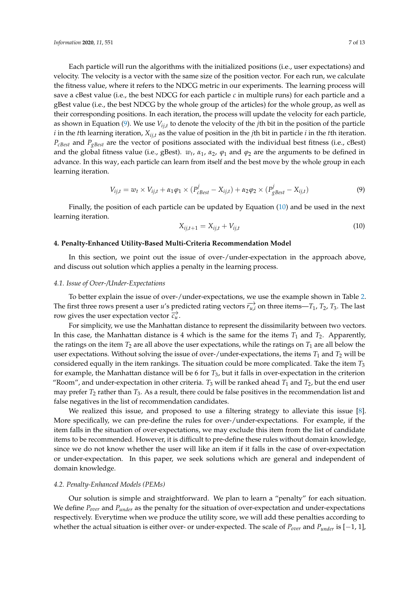Each particle will run the algorithms with the initialized positions (i.e., user expectations) and velocity. The velocity is a vector with the same size of the position vector. For each run, we calculate the fitness value, where it refers to the NDCG metric in our experiments. The learning process will save a cBest value (i.e., the best NDCG for each particle *c* in multiple runs) for each particle and a gBest value (i.e., the best NDCG by the whole group of the articles) for the whole group, as well as their corresponding positions. In each iteration, the process will update the velocity for each particle, as shown in Equation [\(9\)](#page-6-1). We use *Vij*,*<sup>t</sup>* to denote the velocity of the *j*th bit in the position of the particle *i* in the *t*th learning iteration, *Xij*,*<sup>t</sup>* as the value of position in the *j*th bit in particle *i* in the *t*th iteration. *PcBest* and *PgBest* are the vector of positions associated with the individual best fitness (i.e., cBest) and the global fitness value (i.e., gBest).  $w_t$ ,  $\alpha_1$ ,  $\alpha_2$ ,  $\varphi_1$  and  $\varphi_2$  are the arguments to be defined in advance. In this way, each particle can learn from itself and the best move by the whole group in each learning iteration.

<span id="page-6-1"></span>
$$
V_{ij,t} = w_t \times V_{ij,t} + \alpha_1 \varphi_1 \times (P_{\text{cBest}}^j - X_{ij,t}) + \alpha_2 \varphi_2 \times (P_{\text{gBest}}^j - X_{ij,t})
$$
\n
$$
\tag{9}
$$

Finally, the position of each particle can be updated by Equation [\(10\)](#page-6-2) and be used in the next learning iteration.

<span id="page-6-2"></span>
$$
X_{ij,t+1} = X_{ij,t} + V_{ij,t}
$$
\n
$$
(10)
$$

#### <span id="page-6-0"></span>**4. Penalty-Enhanced Utility-Based Multi-Criteria Recommendation Model**

In this section, we point out the issue of over-/under-expectation in the approach above, and discuss out solution which applies a penalty in the learning process.

#### *4.1. Issue of Over-/Under-Expectations*

To better explain the issue of over-/under-expectations, we use the example shown in Table [2.](#page-2-0) The first three rows present a user *u'*s predicted rating vectors  $\overrightarrow{r_{u,i}}$  on three items—*T*<sub>1</sub>, *T*<sub>2</sub>, *T*<sub>3</sub>. The last row gives the user expectation vector  $\overrightarrow{c_u}$ .

For simplicity, we use the Manhattan distance to represent the dissimilarity between two vectors. In this case, the Manhattan distance is 4 which is the same for the items  $T_1$  and  $T_2$ . Apparently, the ratings on the item  $T_2$  are all above the user expectations, while the ratings on  $T_1$  are all below the user expectations. Without solving the issue of over-/under-expectations, the items  $T_1$  and  $T_2$  will be considered equally in the item rankings. The situation could be more complicated. Take the item *T*<sup>3</sup> for example, the Manhattan distance will be 6 for *T*3, but it falls in over-expectation in the criterion "Room", and under-expectation in other criteria.  $T_3$  will be ranked ahead  $T_1$  and  $T_2$ , but the end user may prefer  $T_2$  rather than  $T_3$ . As a result, there could be false positives in the recommendation list and false negatives in the list of recommendation candidates.

We realized this issue, and proposed to use a filtering strategy to alleviate this issue [\[8\]](#page-11-7). More specifically, we can pre-define the rules for over-/under-expectations. For example, if the item falls in the situation of over-expectations, we may exclude this item from the list of candidate items to be recommended. However, it is difficult to pre-define these rules without domain knowledge, since we do not know whether the user will like an item if it falls in the case of over-expectation or under-expectation. In this paper, we seek solutions which are general and independent of domain knowledge.

## <span id="page-6-3"></span>*4.2. Penalty-Enhanced Models (PEMs)*

Our solution is simple and straightforward. We plan to learn a "penalty" for each situation. We define *Pover* and *Punder* as the penalty for the situation of over-expectation and under-expectations respectively. Everytime when we produce the utility score, we will add these penalties according to whether the actual situation is either over- or under-expected. The scale of *Pover* and *Punder* is [−1, 1],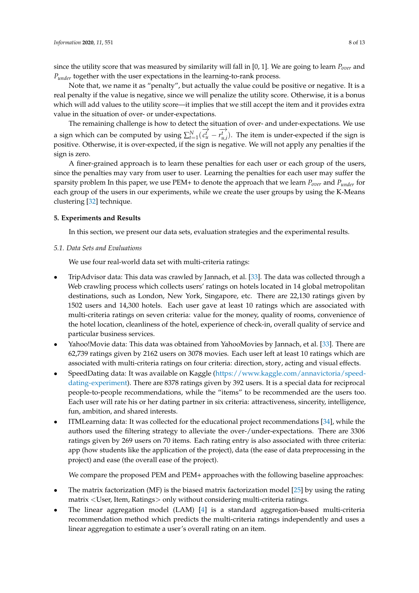since the utility score that was measured by similarity will fall in [0, 1]. We are going to learn *Pover* and *P*<sub>under</sub> together with the user expectations in the learning-to-rank process.

Note that, we name it as "penalty", but actually the value could be positive or negative. It is a real penalty if the value is negative, since we will penalize the utility score. Otherwise, it is a bonus which will add values to the utility score—it implies that we still accept the item and it provides extra value in the situation of over- or under-expectations.

The remaining challenge is how to detect the situation of over- and under-expectations. We use a sign which can be computed by using  $\sum_{t=1}^{N}(\overrightarrow{c^{t}_{u}} - \overrightarrow{c^{t}_{u}})$  $\overrightarrow{r_{u,i}^t}$ ). The item is under-expected if the sign is positive. Otherwise, it is over-expected, if the sign is negative. We will not apply any penalties if the sign is zero.

A finer-grained approach is to learn these penalties for each user or each group of the users, since the penalties may vary from user to user. Learning the penalties for each user may suffer the sparsity problem In this paper, we use PEM+ to denote the approach that we learn *Pover* and *Punder* for each group of the users in our experiments, while we create the user groups by using the K-Means clustering [\[32\]](#page-12-7) technique.

## <span id="page-7-0"></span>**5. Experiments and Results**

In this section, we present our data sets, evaluation strategies and the experimental results.

#### *5.1. Data Sets and Evaluations*

We use four real-world data set with multi-criteria ratings:

- TripAdvisor data: This data was crawled by Jannach, et al. [\[33\]](#page-12-8). The data was collected through a Web crawling process which collects users' ratings on hotels located in 14 global metropolitan destinations, such as London, New York, Singapore, etc. There are 22,130 ratings given by 1502 users and 14,300 hotels. Each user gave at least 10 ratings which are associated with multi-criteria ratings on seven criteria: value for the money, quality of rooms, convenience of the hotel location, cleanliness of the hotel, experience of check-in, overall quality of service and particular business services.
- Yahoo!Movie data: This data was obtained from YahooMovies by Jannach, et al. [\[33\]](#page-12-8). There are 62,739 ratings given by 2162 users on 3078 movies. Each user left at least 10 ratings which are associated with multi-criteria ratings on four criteria: direction, story, acting and visual effects.
- SpeedDating data: It was available on Kaggle [\(https://www.kaggle.com/annavictoria/speed](https://www.kaggle.com/annavictoria/speed-dating-experiment)[dating-experiment\)](https://www.kaggle.com/annavictoria/speed-dating-experiment). There are 8378 ratings given by 392 users. It is a special data for reciprocal people-to-people recommendations, while the "items" to be recommended are the users too. Each user will rate his or her dating partner in six criteria: attractiveness, sincerity, intelligence, fun, ambition, and shared interests.
- ITMLearning data: It was collected for the educational project recommendations [\[34\]](#page-12-9), while the authors used the filtering strategy to alleviate the over-/under-expectations. There are 3306 ratings given by 269 users on 70 items. Each rating entry is also associated with three criteria: app (how students like the application of the project), data (the ease of data preprocessing in the project) and ease (the overall ease of the project).

We compare the proposed PEM and PEM+ approaches with the following baseline approaches:

- The matrix factorization (MF) is the biased matrix factorization model [\[25\]](#page-12-0) by using the rating matrix <User, Item, Ratings> only without considering multi-criteria ratings.
- The linear aggregation model (LAM) [\[4\]](#page-11-3) is a standard aggregation-based multi-criteria recommendation method which predicts the multi-criteria ratings independently and uses a linear aggregation to estimate a user's overall rating on an item.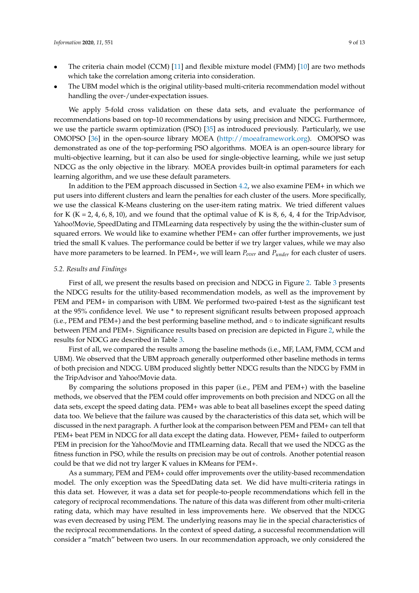- The criteria chain model (CCM) [\[11\]](#page-11-10) and flexible mixture model (FMM) [\[10\]](#page-11-9) are two methods which take the correlation among criteria into consideration.
- The UBM model which is the original utility-based multi-criteria recommendation model without handling the over-/under-expectation issues.

We apply 5-fold cross validation on these data sets, and evaluate the performance of recommendations based on top-10 recommendations by using precision and NDCG. Furthermore, we use the particle swarm optimization (PSO) [\[35\]](#page-12-10) as introduced previously. Particularly, we use OMOPSO [\[36\]](#page-12-11) in the open-source library MOEA [\(http://moeaframework.org\)](http://moeaframework.org). OMOPSO was demonstrated as one of the top-performing PSO algorithms. MOEA is an open-source library for multi-objective learning, but it can also be used for single-objective learning, while we just setup NDCG as the only objective in the library. MOEA provides built-in optimal parameters for each learning algorithm, and we use these default parameters.

In addition to the PEM approach discussed in Section [4.2,](#page-6-3) we also examine PEM+ in which we put users into different clusters and learn the penalties for each cluster of the users. More specifically, we use the classical K-Means clustering on the user-item rating matrix. We tried different values for K (K = 2, 4, 6, 8, 10), and we found that the optimal value of K is 8, 6, 4, 4 for the TripAdvisor, Yahoo!Movie, SpeedDating and ITMLearning data respectively by using the the within-cluster sum of squared errors. We would like to examine whether PEM+ can offer further improvements, we just tried the small K values. The performance could be better if we try larger values, while we may also have more parameters to be learned. In PEM+, we will learn *Pover* and *Punder* for each cluster of users.

#### *5.2. Results and Findings*

First of all, we present the results based on precision and NDCG in Figure [2.](#page-9-0) Table [3](#page-9-1) presents the NDCG results for the utility-based recommendation models, as well as the improvement by PEM and PEM+ in comparison with UBM. We performed two-paired t-test as the significant test at the 95% confidence level. We use \* to represent significant results between proposed approach (i.e., PEM and PEM+) and the best performing baseline method, and  $\circ$  to indicate significant results between PEM and PEM+. Significance results based on precision are depicted in Figure [2,](#page-9-0) while the results for NDCG are described in Table [3.](#page-9-1)

First of all, we compared the results among the baseline methods (i.e., MF, LAM, FMM, CCM and UBM). We observed that the UBM approach generally outperformed other baseline methods in terms of both precision and NDCG. UBM produced slightly better NDCG results than the NDCG by FMM in the TripAdvisor and Yahoo!Movie data.

By comparing the solutions proposed in this paper (i.e., PEM and PEM+) with the baseline methods, we observed that the PEM could offer improvements on both precision and NDCG on all the data sets, except the speed dating data. PEM+ was able to beat all baselines except the speed dating data too. We believe that the failure was caused by the characteristics of this data set, which will be discussed in the next paragraph. A further look at the comparison between PEM and PEM+ can tell that PEM+ beat PEM in NDCG for all data except the dating data. However, PEM+ failed to outperform PEM in precision for the Yahoo!Movie and ITMLearning data. Recall that we used the NDCG as the fitness function in PSO, while the results on precision may be out of controls. Another potential reason could be that we did not try larger K values in KMeans for PEM+.

As a summary, PEM and PEM+ could offer improvements over the utility-based recommendation model. The only exception was the SpeedDating data set. We did have multi-criteria ratings in this data set. However, it was a data set for people-to-people recommendations which fell in the category of reciprocal recommendations. The nature of this data was different from other multi-criteria rating data, which may have resulted in less improvements here. We observed that the NDCG was even decreased by using PEM. The underlying reasons may lie in the special characteristics of the reciprocal recommendations. In the context of speed dating, a successful recommendation will consider a "match" between two users. In our recommendation approach, we only considered the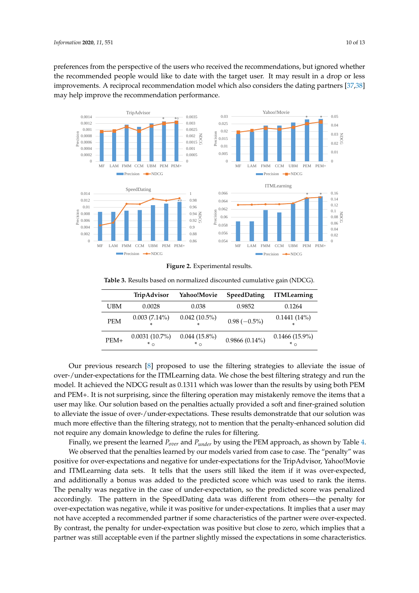preferences from the perspective of the users who received the recommendations, but ignored whether the recommended people would like to date with the target user. It may result in a drop or less improvements. A reciprocal recommendation model which also considers the dating partners [\[37](#page-12-12)[,38\]](#page-12-13) may help improve the recommendation performance.  $\frac{1}{2}$  1

<span id="page-9-0"></span>

**Figure 2.** Experimental results **Figure 2.** Experimental results.

|            | TripAdvisor                     | Yahoo!Movie            | <b>SpeedDating</b> | <b>ITMLearning</b>              |
|------------|---------------------------------|------------------------|--------------------|---------------------------------|
| UBM        | 0.0028                          | 0.038                  | 0.9852             | 0.1264                          |
| <b>PEM</b> | $0.003(7.14\%)$                 | $0.042(10.5\%)$        | $0.98(-0.5\%)$     | $0.1441(14\%)$                  |
| $PEM+$     | $0.0031(10.7\%)$<br>$*$ $\circ$ | $0.044(15.8\%)$<br>* ∩ | $0.9866(0.14\%)$   | $0.1466(15.9\%)$<br>$*_{\circ}$ |

<span id="page-9-1"></span>**Table 3.** Results based on normalized discounted cumulative gain (NDCG).

Our previous research [\[8\]](#page-11-7) proposed to use the filtering strategies to alleviate the issue of over-/under-expectations for the ITMLearning data. We chose the best filtering strategy and run the model. It achieved the NDCG result as 0.1311 which was lower than the results by using both PEM and PEM+. It is not surprising, since the filtering operation may mistakenly remove the items that a user may like. Our solution based on the penalties actually provided a soft and finer-grained solution to alleviate the issue of over-/under-expectations. These results demonstratde that our solution was much more effective than the filtering strategy, not to mention that the penalty-enhanced solution did not require any domain knowledge to define the rules for filtering.

Finally, we present the learned *Pover* and *Punder* by using the PEM approach, as shown by Table [4.](#page-10-1)

We observed that the penalties learned by our models varied from case to case. The "penalty" was positive for over-expectations and negative for under-expectations for the TripAdvisor, Yahoo!Movie and ITMLearning data sets. It tells that the users still liked the item if it was over-expected, and additionally a bonus was added to the predicted score which was used to rank the items. The penalty was negative in the case of under-expectation, so the predicted score was penalized accordingly. The pattern in the SpeedDating data was different from others—the penalty for over-expectation was negative, while it was positive for under-expectations. It implies that a user may not have accepted a recommended partner if some characteristics of the partner were over-expected. By contrast, the penalty for under-expectation was positive but close to zero, which implies that a partner was still acceptable even if the partner slightly missed the expectations in some characteristics.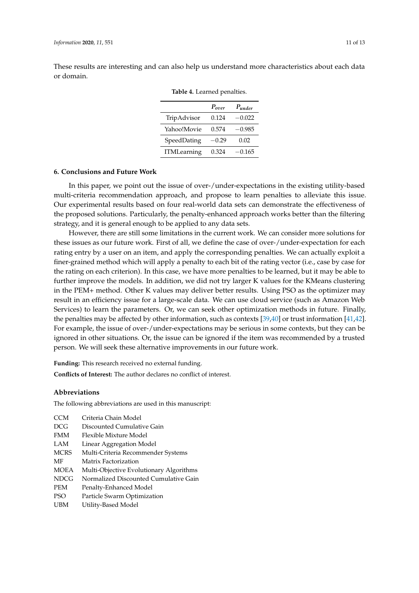<span id="page-10-1"></span>These results are interesting and can also help us understand more characteristics about each data or domain.

|             | $P_{over}$ | $P$ <sub>under</sub> |
|-------------|------------|----------------------|
| TripAdvisor | 0.124      | $-0.022$             |
| Yahoo!Movie | 0.574      | $-0.985$             |
| SpeedDating | $-0.29$    | 0.02                 |
| ITMLearning | 0.324      | $-0.165$             |

**Table 4.** Learned penalties.

## <span id="page-10-0"></span>**6. Conclusions and Future Work**

In this paper, we point out the issue of over-/under-expectations in the existing utility-based multi-criteria recommendation approach, and propose to learn penalties to alleviate this issue. Our experimental results based on four real-world data sets can demonstrate the effectiveness of the proposed solutions. Particularly, the penalty-enhanced approach works better than the filtering strategy, and it is general enough to be applied to any data sets.

However, there are still some limitations in the current work. We can consider more solutions for these issues as our future work. First of all, we define the case of over-/under-expectation for each rating entry by a user on an item, and apply the corresponding penalties. We can actually exploit a finer-grained method which will apply a penalty to each bit of the rating vector (i.e., case by case for the rating on each criterion). In this case, we have more penalties to be learned, but it may be able to further improve the models. In addition, we did not try larger K values for the KMeans clustering in the PEM+ method. Other K values may deliver better results. Using PSO as the optimizer may result in an efficiency issue for a large-scale data. We can use cloud service (such as Amazon Web Services) to learn the parameters. Or, we can seek other optimization methods in future. Finally, the penalties may be affected by other information, such as contexts [\[39,](#page-12-14)[40\]](#page-12-15) or trust information [\[41](#page-12-16)[,42\]](#page-12-17). For example, the issue of over-/under-expectations may be serious in some contexts, but they can be ignored in other situations. Or, the issue can be ignored if the item was recommended by a trusted person. We will seek these alternative improvements in our future work.

**Funding:** This research received no external funding.

**Conflicts of Interest:** The author declares no conflict of interest.

### **Abbreviations**

The following abbreviations are used in this manuscript:

| Criteria Chain Model                    |
|-----------------------------------------|
| Discounted Cumulative Gain              |
| Flexible Mixture Model                  |
| Linear Aggregation Model                |
| Multi-Criteria Recommender Systems      |
| Matrix Factorization                    |
| Multi-Objective Evolutionary Algorithms |
| Normalized Discounted Cumulative Gain   |
| Penalty-Enhanced Model                  |
| Particle Swarm Optimization             |
| Utility-Based Model                     |
|                                         |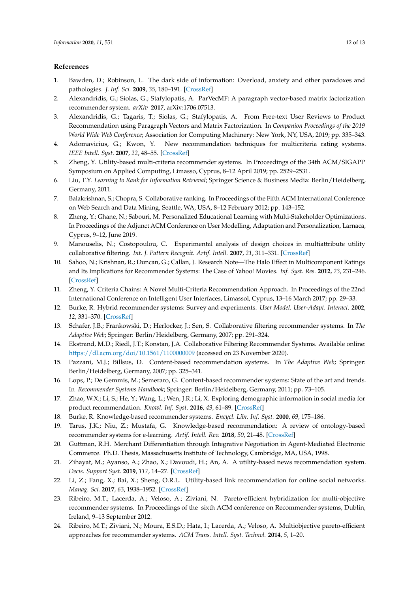## **References**

- <span id="page-11-0"></span>1. Bawden, D.; Robinson, L. The dark side of information: Overload, anxiety and other paradoxes and pathologies. *J. Inf. Sci.* **2009**, *35*, 180–191. [\[CrossRef\]](http://dx.doi.org/10.1177/0165551508095781)
- <span id="page-11-1"></span>2. Alexandridis, G.; Siolas, G.; Stafylopatis, A. ParVecMF: A paragraph vector-based matrix factorization recommender system. *arXiv* **2017**, arXiv:1706.07513.
- <span id="page-11-2"></span>3. Alexandridis, G.; Tagaris, T.; Siolas, G.; Stafylopatis, A. From Free-text User Reviews to Product Recommendation using Paragraph Vectors and Matrix Factorization. In *Companion Proceedings of the 2019 World Wide Web Conference*; Association for Computing Machinery: New York, NY, USA, 2019; pp. 335–343.
- <span id="page-11-3"></span>4. Adomavicius, G.; Kwon, Y. New recommendation techniques for multicriteria rating systems. *IEEE Intell. Syst.* **2007**, *22*, 48–55. [\[CrossRef\]](http://dx.doi.org/10.1109/MIS.2007.58)
- <span id="page-11-4"></span>5. Zheng, Y. Utility-based multi-criteria recommender systems. In Proceedings of the 34th ACM/SIGAPP Symposium on Applied Computing, Limasso, Cyprus, 8–12 April 2019; pp. 2529–2531.
- <span id="page-11-5"></span>6. Liu, T.Y. *Learning to Rank for Information Retrieval*; Springer Science & Business Media: Berlin/Heidelberg, Germany, 2011.
- <span id="page-11-6"></span>7. Balakrishnan, S.; Chopra, S. Collaborative ranking. In Proceedings of the Fifth ACM International Conference on Web Search and Data Mining, Seattle, WA, USA, 8–12 February 2012; pp. 143–152.
- <span id="page-11-7"></span>8. Zheng, Y.; Ghane, N.; Sabouri, M. Personalized Educational Learning with Multi-Stakeholder Optimizations. In Proceedings of the Adjunct ACM Conference on User Modelling, Adaptation and Personalization, Larnaca, Cyprus, 9–12, June 2019.
- <span id="page-11-8"></span>9. Manouselis, N.; Costopoulou, C. Experimental analysis of design choices in multiattribute utility collaborative filtering. *Int. J. Pattern Recognit. Artif. Intell.* **2007**, *21*, 311–331. [\[CrossRef\]](http://dx.doi.org/10.1142/S021800140700548X)
- <span id="page-11-9"></span>10. Sahoo, N.; Krishnan, R.; Duncan, G.; Callan, J. Research Note—The Halo Effect in Multicomponent Ratings and Its Implications for Recommender Systems: The Case of Yahoo! Movies. *Inf. Syst. Res.* **2012**, *23*, 231–246. [\[CrossRef\]](http://dx.doi.org/10.1287/isre.1100.0336)
- <span id="page-11-10"></span>11. Zheng, Y. Criteria Chains: A Novel Multi-Criteria Recommendation Approach. In Proceedings of the 22nd International Conference on Intelligent User Interfaces, Limassol, Cyprus, 13–16 March 2017; pp. 29–33.
- <span id="page-11-11"></span>12. Burke, R. Hybrid recommender systems: Survey and experiments. *User Model. User-Adapt. Interact.* **2002**, *12*, 331–370. [\[CrossRef\]](http://dx.doi.org/10.1023/A:1021240730564)
- <span id="page-11-12"></span>13. Schafer, J.B.; Frankowski, D.; Herlocker, J.; Sen, S. Collaborative filtering recommender systems. In *The Adaptive Web*; Springer: Berlin/Heidelberg, Germany, 2007; pp. 291–324.
- <span id="page-11-13"></span>14. Ekstrand, M.D.; Riedl, J.T.; Konstan, J.A. Collaborative Filtering Recommender Systems. Available online: <https://dl.acm.org/doi/10.1561/1100000009> (accessed on 23 November 2020).
- <span id="page-11-14"></span>15. Pazzani, M.J.; Billsus, D. Content-based recommendation systems. In *The Adaptive Web*; Springer: Berlin/Heidelberg, Germany, 2007; pp. 325–341.
- <span id="page-11-15"></span>16. Lops, P.; De Gemmis, M.; Semeraro, G. Content-based recommender systems: State of the art and trends. In *Recommender Systems Handbook*; Springer: Berlin/Heidelberg, Germany, 2011; pp. 73–105.
- <span id="page-11-16"></span>17. Zhao, W.X.; Li, S.; He, Y.; Wang, L.; Wen, J.R.; Li, X. Exploring demographic information in social media for product recommendation. *Knowl. Inf. Syst.* **2016**, *49*, 61–89. [\[CrossRef\]](http://dx.doi.org/10.1007/s10115-015-0897-5)
- <span id="page-11-17"></span>18. Burke, R. Knowledge-based recommender systems. *Encycl. Libr. Inf. Syst.* **2000**, *69*, 175–186.
- <span id="page-11-18"></span>19. Tarus, J.K.; Niu, Z.; Mustafa, G. Knowledge-based recommendation: A review of ontology-based recommender systems for e-learning. *Artif. Intell. Rev.* **2018**, *50*, 21–48. [\[CrossRef\]](http://dx.doi.org/10.1007/s10462-017-9539-5)
- <span id="page-11-19"></span>20. Guttman, R.H. Merchant Differentiation through Integrative Negotiation in Agent-Mediated Electronic Commerce. Ph.D. Thesis, Massachusetts Institute of Technology, Cambridge, MA, USA, 1998.
- <span id="page-11-20"></span>21. Zihayat, M.; Ayanso, A.; Zhao, X.; Davoudi, H.; An, A. A utility-based news recommendation system. *Decis. Support Syst.* **2019**, *117*, 14–27. [\[CrossRef\]](http://dx.doi.org/10.1016/j.dss.2018.12.001)
- <span id="page-11-21"></span>22. Li, Z.; Fang, X.; Bai, X.; Sheng, O.R.L. Utility-based link recommendation for online social networks. *Manag. Sci.* **2017**, *63*, 1938–1952. [\[CrossRef\]](http://dx.doi.org/10.1287/mnsc.2016.2446)
- <span id="page-11-22"></span>23. Ribeiro, M.T.; Lacerda, A.; Veloso, A.; Ziviani, N. Pareto-efficient hybridization for multi-objective recommender systems. In Proceedings of the sixth ACM conference on Recommender systems, Dublin, Ireland, 9–13 September 2012.
- <span id="page-11-23"></span>24. Ribeiro, M.T.; Ziviani, N.; Moura, E.S.D.; Hata, I.; Lacerda, A.; Veloso, A. Multiobjective pareto-efficient approaches for recommender systems. *ACM Trans. Intell. Syst. Technol.* **2014**, *5*, 1–20.